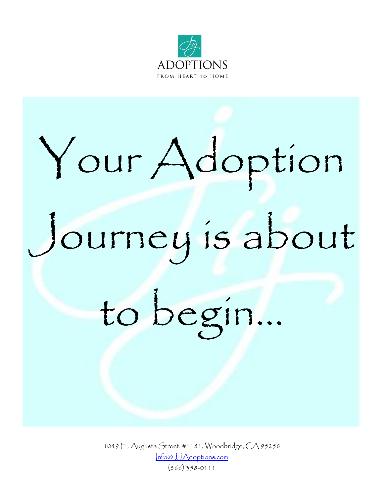

# Your Adoption Journey is about to begin…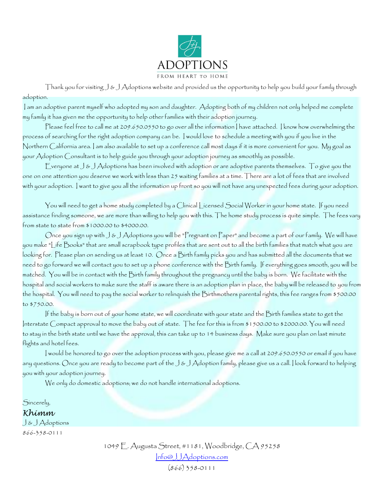

Thank you for visiting J & J Adoptions website and provided us the opportunity to help you build your family through adoption.

I am an adoptive parent myself who adopted my son and daughter. Adopting both of my children not only helped me complete my family it has given me the opportunity to help other families with their adoption journey.

Please feel free to call me at 209.650.0550 to go over all the information | have attached. | know how overwhelming the process of searching for the right adoption company can be. I would love to schedule a meeting with you if you live in the Northern California area. I am also available to set up a conference call most days if it is more convenient for you. My goal as your Adoption Consultant is to help guide you through your adoption journey as smoothly as possible.

Everyone at J & J Adoptions has been involved with adoption or are adoptive parents themselves. To give you the one on one attention you deserve we work with less than 25 waiting families at a time. There are a lot of fees that are involved with your adoption. I want to give you all the information up front so you will not have any unexpected fees during your adoption.

You will need to get a home study completed by a Clinical Licensed Social Worker in your home state. If you need assistance finding someone, we are more than willing to help you with this. The home study process is quite simple. The fees vary from state to state from \$1000.00 to \$4000.00.

Once you sign up with J & J Adoptions you will be "Pregnant on Paper" and become a part of our family. We will have you make "Life Books" that are small scrapbook type profiles that are sent out to all the birth families that match what you are looking for. Please plan on sending us at least 10. Once a Birth family picks you and has submitted all the documents that we need to go forward we will contact you to set up a phone conference with the Birth family. If everything goes smooth, you will be matched. You will be in contact with the Birth family throughout the pregnancy until the baby is born. We facilitate with the hospital and social workers to make sure the staff is aware there is an adoption plan in place, the baby will be released to you from the hospital. You will need to pay the social worker to relinquish the Birthmothers parental rights, this fee ranges from \$500.00 to \$750.00.

If the baby is born out of your home state, we will coordinate with your state and the Birth families state to get the Interstate Compact approval to move the baby out of state. The fee for this is from \$1500.00 to \$2000.00. You will need to stay in the birth state until we have the approval, this can take up to 14 business days. Make sure you plan on last minute flights and hotel fees.

I would be honored to go over the adoption process with you, please give me a call at 209.650.0550 or email if you have any questions. Once you are ready to become part of the J & J Adoption family, please give us a call. I look forward to helping you with your adoption journey.   

We only do domestic adoptions; we do not handle international adoptions.

Sincerely,

*Khimm*

J & J Adoptions 866-358-0111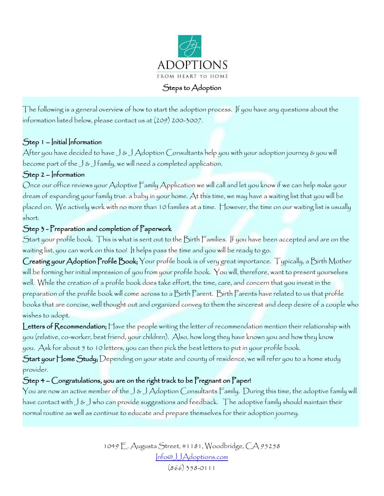

The following is a general overview of how to start the adoption process. If you have any questions about the information listed below, please contact us at (209) 200-3007.

## Step 1 – Initial Information

After you have decided to have J & J Adoption Consultants help you with your adoption journey & you will become part of the  $\bigcup \mathfrak{G}$  ) family, we will need a completed application.

## Step 2 – Information

Once our office reviews your Adoptive Family Application we will call and let you know if we can help make your dream of expanding your family true. a baby in your home. At this time, we may have a waiting list that you will be placed on. We actively work with no more than 10 families at a time. However, the time on our waiting list is usually short.

#### Step 3 - Preparation and completion of Paperwork

Start your profile book. This is what is sent out to the Birth Families. If you have been accepted and are on the waiting list, you can work on this too! It helps pass the time and you will be ready to go.

Creating your Adoption Profile Book; Your profile book is of very great importance. Typically, a Birth Mother will be forming her initial impression of you from your profile book. You will, therefore, want to present yourselves well. While the creation of a profile book does take effort, the time, care, and concern that you invest in the preparation of the profile book will come across to a Birth Parent. Birth Parents have related to us that profile books that are concise, well thought out and organized convey to them the sincerest and deep desire of a couple who wishes to adopt.

Letters of Recommendation; Have the people writing the letter of recommendation mention their relationship with you (relative, co-worker, best friend, your children). Also, how long they have known you and how they know you. Ask for about 5 to 10 letters, you can then pick the best letters to put in your profile book.

 $\mathcal S$ tart your  $\mathcal F$ lome  $\mathcal S$ tudy;  $\mathcal D$ epending on your state and county of residence, we will refer you to a home study provider.

# Step 4 – Congratulations, you are on the right track to be Pregnant on Paper!

You are now an active member of the J & J Adoption Consultants Family. During this time, the adoptive family will have contact with J & J who can provide suggestions and feedback. The adoptive family should maintain their normal routine as well as continue to educate and prepare themselves for their adoption journey.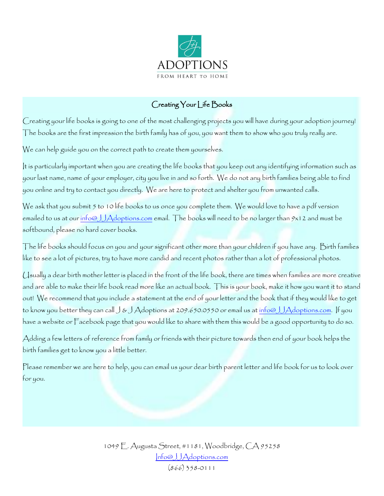

# Creating Your | ife Books

Creating your life books is going to one of the most challenging projects you will have during your adoption journey! The books are the first impression the birth family has of you, you want them to show who you truly really are.

We can help guide you on the correct path to create them yourselves.

It is particularly important when you are creating the life books that you keep out any identifying information such as your last name, name of your employer, city you live in and so forth. We do not any birth families being able to find you online and try to contact you directly. We are here to protect and shelter you from unwanted calls.

We ask that you submit 5 to 10 life books to us once you complete them. We would love to have a pdf version emailed to us at our [info@JJAdoptions.com](mailto:info@JJAdoptions.com) email. The books will need to be no larger than 9x12 and must be softbound, please no hard cover books.

The life books should focus on you and your significant other more than your children if you have any. Birth families like to see a lot of pictures, try to have more candid and recent photos rather than a lot of professional photos.

Usually a dear birth mother letter is placed in the front of the life book, there are times when families are more creative and are able to make their life book read more like an actual book. This is your book, make it how you want it to stand out! We recommend that you include a statement at the end of your letter and the book that if they would like to get to know you better they can call  $J$  &  $J$  Adoptions at 209.650.0550 or email us at <u>info@JJAdoptions.com</u>. If you have a website or Facebook page that you would like to share with them this would be a good opportunity to do so.

Adding a few letters of reference from family or friends with their picture towards then end of your book helps the birth families get to know you a little better.

Please remember we are here to help, you can email us your dear birth parent letter and life book for us to look over for you.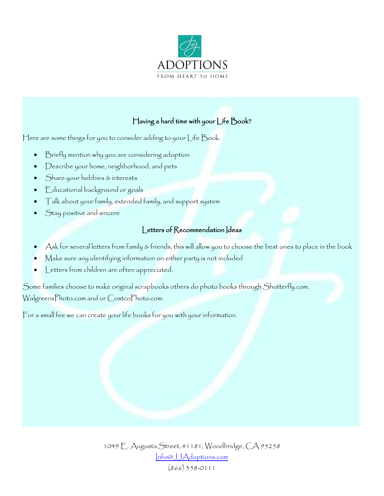

# Having a hard time with your Life Book?

Here are some things for you to consider adding to your Life Book.

- Briefly mention why you are considering adoption
- Describe your home, neighborhood, and pets
- Share your hobbies & interests
- Educational background or goals
- Talk about your family, extended family, and support system
- Stay positive and sincere

#### Letters of Recommendation Ideas

- Ask for several letters from family & friends, this will allow you to choose the best ones to place in the book
- Make sure any identifying information on either party is not included
- Letters from children are often appreciated.

Some families choose to make original scrapbooks others do photo books through Shutterfly.com, WalgreensPhoto.com and or CostcoPhoto.com.

For a small fee we can create your life books for you with your information.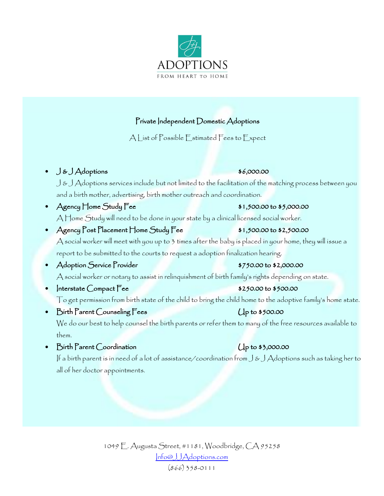

# Private Independent Domestic Adoptions

A List of Possible Estimated Fees to Expect

• J&JAdoptions \$6,000.00

J & J Adoptions services include but not limited to the facilitation of the matching process between you and a birth mother, advertising, birth mother outreach and coordination.

- Agency  $\Box$  Mome Study Fee  $\Box$  \$1,500.00 to \$5,000.00 A Home Study will need to be done in your state by a clinical licensed social worker.
- $\text{Agency Post Placement Home Study Fee}$   $\bullet$  \$1,500.00 to \$2,500.00 A social worker will meet with you up to 3 times after the baby is placed in your home, they will issue a report to be submitted to the courts to request a adoption finalization hearing.
- Adoption Service Provider **6.000.000 to \$2,000.00** A social worker or notary to assist in relinquishment of birth family's rights depending on state.
- $|$ nterstate Compact  $\overline{e}$ e  $\overline{f}$  \$250.00 to \$500.00 To get permission from birth state of the child to bring the child home to the adoptive family's home state.
- Birth Parent Counseling Fees Up to \$500.00 We do our best to help counsel the birth parents or refer them to many of the free resources available to them.
- $\mathbb{B}$ irth Parent Coordination Up to \$3,000.00

If a birth parent is in need of a lot of assistance/coordination from J & J Adoptions such as taking her to all of her doctor appointments.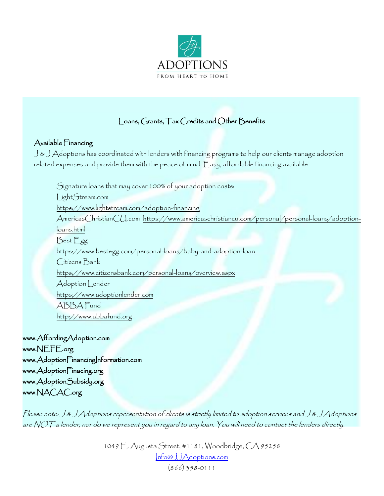

# Loans, Grants, Tax Credits and Other Benefits

## Available Financing

 $\bigcup \& \bigcup A$ doptions has coordinated with lenders with financing programs to help our clients manage adoption related expenses and provide them with the peace of mind. Easy, affordable financing available.

Signature loans that may cover 100% of your adoption costs: LightStream.com <https://www.lightstream.com/adoption-financing> AmericasChristianCU.com [https://www.americaschristiancu.com/personal/personal-loans/adoption](https://www.americaschristiancu.com/personal/personal-loans/adoption-loans.html)[loans.html](https://www.americaschristiancu.com/personal/personal-loans/adoption-loans.html) Best Egg <https://www.bestegg.com/personal-loans/baby-and-adoption-loan> Citizens Bank <https://www.citizensbank.com/personal-loans/overview.aspx> Adoption Lender [https://www.adoptionlender.com](https://www.adoptionlender.com/) ABBA Fund [http://www.abbafund.org](http://www.abbafund.org/) [www.AffordingAdoption.com](http://www.affordingadoption.com/) 

[www.NEFE.org](http://www.nefe.org/) www.AdoptionFinancingInformation.com www.AdoptionFinacing.org www.AdoptionSubsidy.org www.NACAC.org

Please note: J & J Adoptions representation of clients is strictly limited to adoption services and J & J Adoptions are NOT a lender, nor do we represent you in regard to any loan. You will need to contact the lenders directly.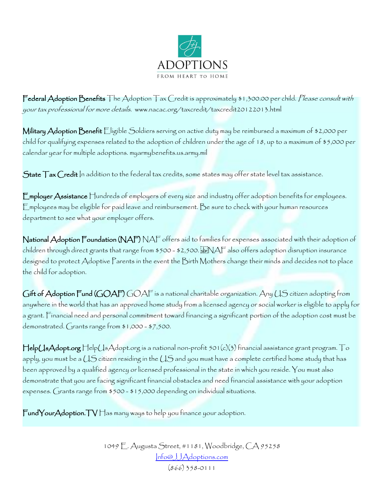

Federal Adoption Benefits The Adoption Tax Credit is approximately \$1,300.00 per child. Please consult with your tax professional for more details. www.nacac.org/taxcredit/taxcredit20122013.html

**Military Adoption Benefit** Eligible Soldiers serving on active duty may be reimbursed a maximum of \$2,000 per child for qualifying expenses related to the adoption of children under the age of 18, up to a maximum of \$5,000 per calendar year for multiple adoptions. myarmybenefits.us.army.mil

 $\operatorname{\sf State\,}$   $\Gamma$ ax  $\operatorname{\sf Credit\,}$ In addition to the federal tax credits, some states may offer state level tax assistance.

Employer Assistance Hundreds of employers of every size and industry offer adoption benefits for employees. Employees may be eligible for paid leave and reimbursement. Be sure to check with your human resources department to see what your employer offers.

National Adoption Foundation (NAF) NAF offers aid to families for expenses associated with their adoption of children through direct grants that range from \$500 - \$2,500. NAF also offers adoption disruption insurance designed to protect Adoptive Parents in the event the Birth Mothers change their minds and decides not to place the child for adoption.

Gift of Adoption Fund (GOAF) GOAF is a national charitable organization. Any US citizen adopting from anywhere in the world that has an approved home study from a licensed agency or social worker is eligible to apply for a grant. Financial need and personal commitment toward financing a significant portion of the adoption cost must be demonstrated. Grants range from \$1,000 - \$7,500.

HelpUsAdopt.org HelpUsAdopt.org is a national non-profit 501(c)(3) financial assistance grant program. To apply, you must be a US citizen residing in the US and you must have a complete certified home study that has been approved by a qualified agency or licensed professional in the state in which you reside. You must also demonstrate that you are facing significant financial obstacles and need financial assistance with your adoption expenses. Grants range from \$500 - \$15,000 depending on individual situations.

 $\text{FundYourAdoption.} \text{TV}$  Has many ways to help you finance your adoption.